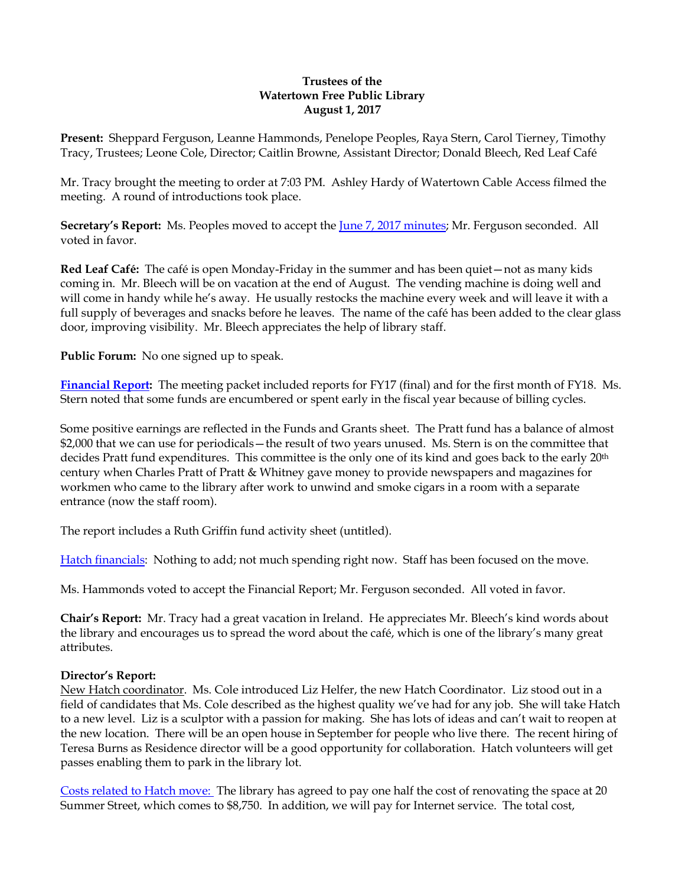### **Trustees of the Watertown Free Public Library August 1, 2017**

**Present:** Sheppard Ferguson, Leanne Hammonds, Penelope Peoples, Raya Stern, Carol Tierney, Timothy Tracy, Trustees; Leone Cole, Director; Caitlin Browne, Assistant Director; Donald Bleech, Red Leaf Café

Mr. Tracy brought the meeting to order at 7:03 PM. Ashley Hardy of Watertown Cable Access filmed the meeting. A round of introductions took place.

**Secretary's Report:** Ms. Peoples moved to accept the [June 7, 2017 minutes;](http://ci.watertown.ma.us/DocumentCenter/View/23058) Mr. Ferguson seconded. All voted in favor.

**Red Leaf Café:** The café is open Monday-Friday in the summer and has been quiet—not as many kids coming in. Mr. Bleech will be on vacation at the end of August. The vending machine is doing well and will come in handy while he's away. He usually restocks the machine every week and will leave it with a full supply of beverages and snacks before he leaves. The name of the café has been added to the clear glass door, improving visibility. Mr. Bleech appreciates the help of library staff.

**Public Forum:** No one signed up to speak.

**[Financial Report:](http://ci.watertown.ma.us/DocumentCenter/View/23260)** The meeting packet included reports for FY17 (final) and for the first month of FY18. Ms. Stern noted that some funds are encumbered or spent early in the fiscal year because of billing cycles.

Some positive earnings are reflected in the Funds and Grants sheet. The Pratt fund has a balance of almost \$2,000 that we can use for periodicals—the result of two years unused. Ms. Stern is on the committee that decides Pratt fund expenditures. This committee is the only one of its kind and goes back to the early 20<sup>th</sup> century when Charles Pratt of Pratt & Whitney gave money to provide newspapers and magazines for workmen who came to the library after work to unwind and smoke cigars in a room with a separate entrance (now the staff room).

The report includes a Ruth Griffin fund activity sheet (untitled).

Hatch [financials:](http://ci.watertown.ma.us/DocumentCenter/View/23261) Nothing to add; not much spending right now. Staff has been focused on the move.

Ms. Hammonds voted to accept the Financial Report; Mr. Ferguson seconded. All voted in favor.

**Chair's Report:** Mr. Tracy had a great vacation in Ireland. He appreciates Mr. Bleech's kind words about the library and encourages us to spread the word about the café, which is one of the library's many great attributes.

### **Director's Report:**

New Hatch coordinator. Ms. Cole introduced Liz Helfer, the new Hatch Coordinator. Liz stood out in a field of candidates that Ms. Cole described as the highest quality we've had for any job. She will take Hatch to a new level. Liz is a sculptor with a passion for making. She has lots of ideas and can't wait to reopen at the new location. There will be an open house in September for people who live there. The recent hiring of Teresa Burns as Residence director will be a good opportunity for collaboration. Hatch volunteers will get passes enabling them to park in the library lot.

Costs related [to Hatch move:](http://ci.watertown.ma.us/DocumentCenter/View/23262) The library has agreed to pay one half the cost of renovating the space at 20 Summer Street, which comes to \$8,750. In addition, we will pay for Internet service. The total cost,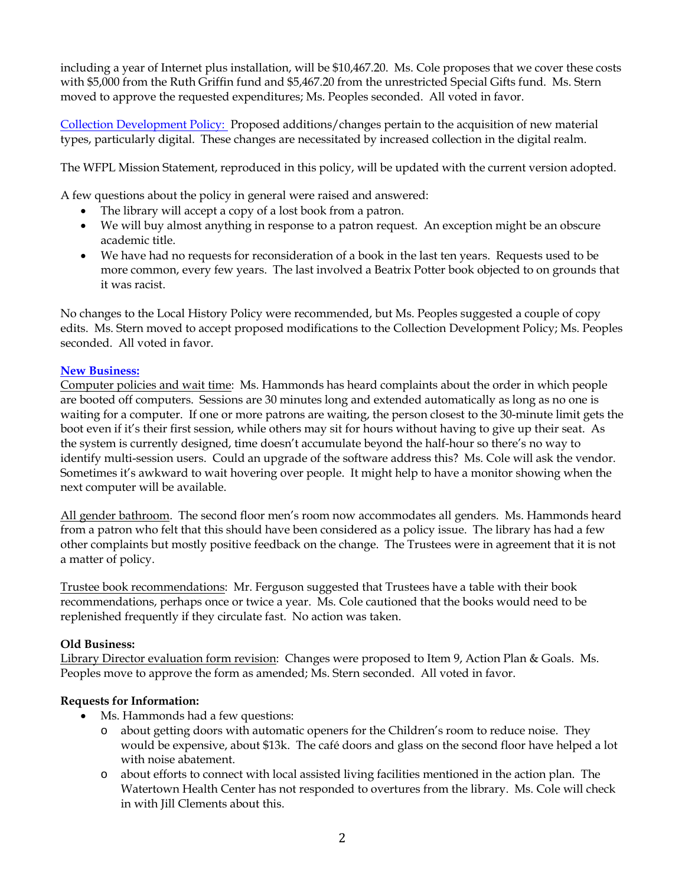including a year of Internet plus installation, will be \$10,467.20. Ms. Cole proposes that we cover these costs with \$5,000 from the Ruth Griffin fund and \$5,467.20 from the unrestricted Special Gifts fund. Ms. Stern moved to approve the requested expenditures; Ms. Peoples seconded. All voted in favor.

[Collection Development Policy:](http://ci.watertown.ma.us/DocumentCenter/View/23259) Proposed additions/changes pertain to the acquisition of new material types, particularly digital. These changes are necessitated by increased collection in the digital realm.

The WFPL Mission Statement, reproduced in this policy, will be updated with the current version adopted.

A few questions about the policy in general were raised and answered:

- The library will accept a copy of a lost book from a patron.
- We will buy almost anything in response to a patron request. An exception might be an obscure academic title.
- We have had no requests for reconsideration of a book in the last ten years. Requests used to be more common, every few years. The last involved a Beatrix Potter book objected to on grounds that it was racist.

No changes to the Local History Policy were recommended, but Ms. Peoples suggested a couple of copy edits. Ms. Stern moved to accept proposed modifications to the Collection Development Policy; Ms. Peoples seconded. All voted in favor.

# **[New Business:](http://ci.watertown.ma.us/DocumentCenter/View/23262)**

Computer policies and wait time: Ms. Hammonds has heard complaints about the order in which people are booted off computers. Sessions are 30 minutes long and extended automatically as long as no one is waiting for a computer. If one or more patrons are waiting, the person closest to the 30-minute limit gets the boot even if it's their first session, while others may sit for hours without having to give up their seat. As the system is currently designed, time doesn't accumulate beyond the half-hour so there's no way to identify multi-session users. Could an upgrade of the software address this? Ms. Cole will ask the vendor. Sometimes it's awkward to wait hovering over people. It might help to have a monitor showing when the next computer will be available.

All gender bathroom. The second floor men's room now accommodates all genders. Ms. Hammonds heard from a patron who felt that this should have been considered as a policy issue. The library has had a few other complaints but mostly positive feedback on the change. The Trustees were in agreement that it is not a matter of policy.

Trustee book recommendations: Mr. Ferguson suggested that Trustees have a table with their book recommendations, perhaps once or twice a year. Ms. Cole cautioned that the books would need to be replenished frequently if they circulate fast. No action was taken.

# **Old Business:**

Library Director evaluation form revision: Changes were proposed to Item 9, Action Plan & Goals. Ms. Peoples move to approve the form as amended; Ms. Stern seconded. All voted in favor.

# **Requests for Information:**

- Ms. Hammonds had a few questions:
	- o about getting doors with automatic openers for the Children's room to reduce noise. They would be expensive, about \$13k. The café doors and glass on the second floor have helped a lot with noise abatement.
	- o about efforts to connect with local assisted living facilities mentioned in the action plan. The Watertown Health Center has not responded to overtures from the library. Ms. Cole will check in with Jill Clements about this.